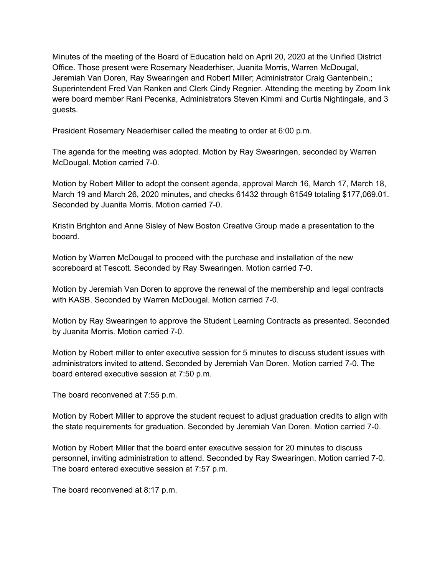Minutes of the meeting of the Board of Education held on April 20, 2020 at the Unified District Office. Those present were Rosemary Neaderhiser, Juanita Morris, Warren McDougal, Jeremiah Van Doren, Ray Swearingen and Robert Miller; Administrator Craig Gantenbein,; Superintendent Fred Van Ranken and Clerk Cindy Regnier. Attending the meeting by Zoom link were board member Rani Pecenka, Administrators Steven Kimmi and Curtis Nightingale, and 3 guests.

President Rosemary Neaderhiser called the meeting to order at 6:00 p.m.

The agenda for the meeting was adopted. Motion by Ray Swearingen, seconded by Warren McDougal. Motion carried 7-0.

Motion by Robert Miller to adopt the consent agenda, approval March 16, March 17, March 18, March 19 and March 26, 2020 minutes, and checks 61432 through 61549 totaling \$177,069.01. Seconded by Juanita Morris. Motion carried 7-0.

Kristin Brighton and Anne Sisley of New Boston Creative Group made a presentation to the booard.

Motion by Warren McDougal to proceed with the purchase and installation of the new scoreboard at Tescott. Seconded by Ray Swearingen. Motion carried 7-0.

Motion by Jeremiah Van Doren to approve the renewal of the membership and legal contracts with KASB. Seconded by Warren McDougal. Motion carried 7-0.

Motion by Ray Swearingen to approve the Student Learning Contracts as presented. Seconded by Juanita Morris. Motion carried 7-0.

Motion by Robert miller to enter executive session for 5 minutes to discuss student issues with administrators invited to attend. Seconded by Jeremiah Van Doren. Motion carried 7-0. The board entered executive session at 7:50 p.m.

The board reconvened at 7:55 p.m.

Motion by Robert Miller to approve the student request to adjust graduation credits to align with the state requirements for graduation. Seconded by Jeremiah Van Doren. Motion carried 7-0.

Motion by Robert Miller that the board enter executive session for 20 minutes to discuss personnel, inviting administration to attend. Seconded by Ray Swearingen. Motion carried 7-0. The board entered executive session at 7:57 p.m.

The board reconvened at 8:17 p.m.